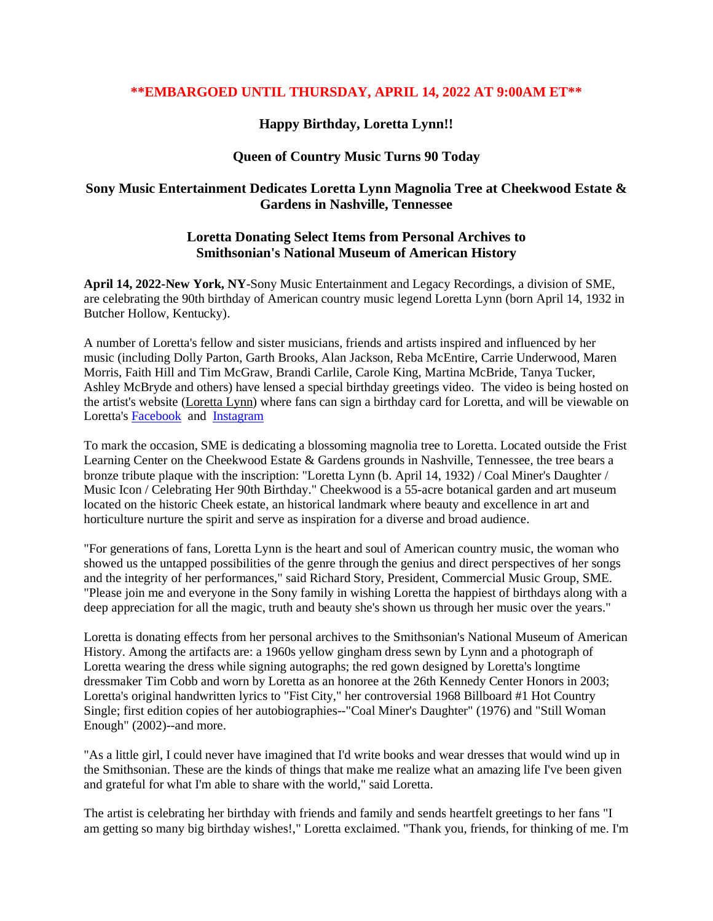## **\*\*EMBARGOED UNTIL THURSDAY, APRIL 14, 2022 AT 9:00AM ET\*\***

# **Happy Birthday, Loretta Lynn!!**

## **Queen of Country Music Turns 90 Today**

# **Sony Music Entertainment Dedicates Loretta Lynn Magnolia Tree at Cheekwood Estate & Gardens in Nashville, Tennessee**

### **Loretta Donating Select Items from Personal Archives to Smithsonian's National Museum of American History**

**April 14, 2022-New York, NY**-Sony Music Entertainment and Legacy Recordings, a division of SME, are celebrating the 90th birthday of American country music legend Loretta Lynn (born April 14, 1932 in Butcher Hollow, Kentucky).

A number of Loretta's fellow and sister musicians, friends and artists inspired and influenced by her music (including Dolly Parton, Garth Brooks, Alan Jackson, Reba McEntire, Carrie Underwood, Maren Morris, Faith Hill and Tim McGraw, Brandi Carlile, Carole King, Martina McBride, Tanya Tucker, Ashley McBryde and others) have lensed a special birthday greetings video. The video is being hosted on the artist's website [\(Loretta](https://www.lorettalynn.com/) Lynn) where fans can sign a birthday card for Loretta, and will be viewable on Loretta's [Facebook](https://www.facebook.com/LorettaLynnOfficial/) and [Instagram](http://www.instagram.com/lorettalynnofficial)

To mark the occasion, SME is dedicating a blossoming magnolia tree to Loretta. Located outside the Frist Learning Center on the Cheekwood Estate & Gardens grounds in Nashville, Tennessee, the tree bears a bronze tribute plaque with the inscription: "Loretta Lynn (b. April 14, 1932) / Coal Miner's Daughter / Music Icon / Celebrating Her 90th Birthday." Cheekwood is a 55-acre botanical garden and art museum located on the historic Cheek estate, an historical landmark where beauty and excellence in art and horticulture nurture the spirit and serve as inspiration for a diverse and broad audience.

"For generations of fans, Loretta Lynn is the heart and soul of American country music, the woman who showed us the untapped possibilities of the genre through the genius and direct perspectives of her songs and the integrity of her performances," said Richard Story, President, Commercial Music Group, SME. "Please join me and everyone in the Sony family in wishing Loretta the happiest of birthdays along with a deep appreciation for all the magic, truth and beauty she's shown us through her music over the years."

Loretta is donating effects from her personal archives to the Smithsonian's National Museum of American History. Among the artifacts are: a 1960s yellow gingham dress sewn by Lynn and a photograph of Loretta wearing the dress while signing autographs; the red gown designed by Loretta's longtime dressmaker Tim Cobb and worn by Loretta as an honoree at the 26th Kennedy Center Honors in 2003; Loretta's original handwritten lyrics to "Fist City," her controversial 1968 Billboard #1 Hot Country Single; first edition copies of her autobiographies--"Coal Miner's Daughter" (1976) and "Still Woman Enough" (2002)--and more.

"As a little girl, I could never have imagined that I'd write books and wear dresses that would wind up in the Smithsonian. These are the kinds of things that make me realize what an amazing life I've been given and grateful for what I'm able to share with the world," said Loretta.

The artist is celebrating her birthday with friends and family and sends heartfelt greetings to her fans "I am getting so many big birthday wishes!," Loretta exclaimed. "Thank you, friends, for thinking of me. I'm